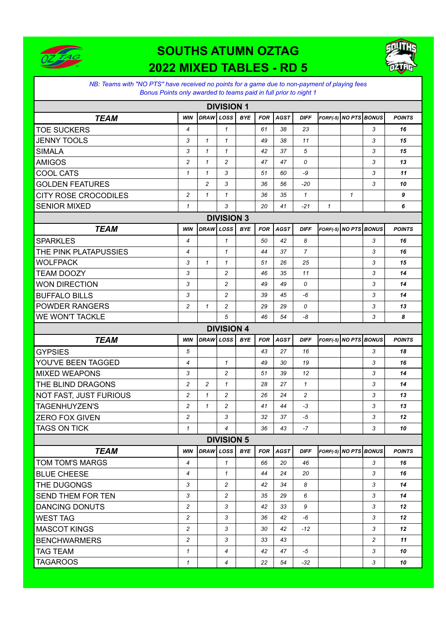

## **SOUTHS ATUMN OZTAG 2022 MIXED TABLES - RD 5**



## *NB: Teams with "NO PTS" have received no points for a game due to non-payment of playing fees Bonus Points only awarded to teams paid in full prior to night 1*

| <b>DIVISION 1</b>           |                |                |                |            |            |             |                |                       |              |                |               |
|-----------------------------|----------------|----------------|----------------|------------|------------|-------------|----------------|-----------------------|--------------|----------------|---------------|
| <b>TEAM</b>                 | <b>WIN</b>     | DRAW LOSS      |                | <b>BYE</b> | <b>FOR</b> | <b>AGST</b> | <b>DIFF</b>    | FORF(-5) NO PTS BONUS |              |                | <b>POINTS</b> |
| <b>TOE SUCKERS</b>          | $\overline{4}$ |                | $\mathcal I$   |            | 61         | 38          | 23             |                       |              | 3              | 16            |
| <b>JENNY TOOLS</b>          | 3              | $\mathbf{1}$   | $\mathbf{1}$   |            | 49         | 38          | 11             |                       |              | 3              | 15            |
| <b>SIMALA</b>               | 3              | $\mathbf{1}$   | $\mathcal I$   |            | 42         | 37          | 5              |                       |              | 3              | 15            |
| <b>AMIGOS</b>               | $\overline{c}$ | $\mathcal I$   | $\overline{c}$ |            | 47         | 47          | 0              |                       |              | 3              | 13            |
| <b>COOL CATS</b>            | $\mathbf{1}$   | $\mathcal I$   | 3              |            | 51         | 60          | -9             |                       |              | 3              | 11            |
| <b>GOLDEN FEATURES</b>      |                | $\overline{c}$ | 3              |            | 36         | 56          | -20            |                       |              | 3              | 10            |
| <b>CITY ROSE CROCODILES</b> | $\overline{c}$ | $\mathcal I$   | $\mathcal I$   |            | 36         | 35          | $\mathcal I$   |                       | $\mathcal I$ |                | 9             |
| <b>SENIOR MIXED</b>         | $\mathcal I$   |                | 3              |            | 20         | 41          | $-21$          | $\mathcal I$          |              |                | 6             |
| <b>DIVISION 3</b>           |                |                |                |            |            |             |                |                       |              |                |               |
| <b>TEAM</b>                 | <b>WIN</b>     | DRAW LOSS      |                | <b>BYE</b> | <b>FOR</b> | <b>AGST</b> | <b>DIFF</b>    | FORF(-5) NO PTS BONUS |              |                | <b>POINTS</b> |
| <b>SPARKLES</b>             | $\overline{4}$ |                | $\mathcal I$   |            | 50         | 42          | 8              |                       |              | 3              | 16            |
| THE PINK PLATAPUSSIES       | 4              |                | $\mathbf{1}$   |            | 44         | 37          | $\overline{7}$ |                       |              | 3              | 16            |
| <b>WOLFPACK</b>             | 3              | $\mathcal I$   | $\mathcal I$   |            | 51         | 26          | 25             |                       |              | 3              | 15            |
| <b>TEAM DOOZY</b>           | 3              |                | $\overline{c}$ |            | 46         | 35          | 11             |                       |              | 3              | 14            |
| <b>WON DIRECTION</b>        | 3              |                | $\overline{c}$ |            | 49         | 49          | 0              |                       |              | 3              | 14            |
| <b>BUFFALO BILLS</b>        | 3              |                | $\overline{c}$ |            | 39         | 45          | -6             |                       |              | 3              | 14            |
| <b>POWDER RANGERS</b>       | 2              | $\mathcal I$   | $\overline{c}$ |            | 29         | 29          | 0              |                       |              | 3              | 13            |
| <b>WE WON'T TACKLE</b>      |                |                | 5              |            | 46         | 54          | -8             |                       |              | 3              | 8             |
| <b>DIVISION 4</b>           |                |                |                |            |            |             |                |                       |              |                |               |
| <b>TEAM</b>                 | <b>WIN</b>     | <b>DRAW</b>    | LOSS           | <b>BYE</b> | <b>FOR</b> | <b>AGST</b> | <b>DIFF</b>    | FORF(-5) NO PTS BONUS |              |                | <b>POINTS</b> |
| <b>GYPSIES</b>              | 5              |                |                |            | 43         | 27          | 16             |                       |              | 3              | 18            |
| YOU'VE BEEN TAGGED          | 4              |                | $\mathcal I$   |            | 49         | 30          | 19             |                       |              | 3              | 16            |
| <b>MIXED WEAPONS</b>        | 3              |                | $\overline{c}$ |            | 51         | 39          | 12             |                       |              | 3              | 14            |
| THE BLIND DRAGONS           | $\overline{c}$ | $\overline{c}$ | $\mathcal I$   |            | 28         | 27          | $\mathbf{1}$   |                       |              | 3              | 14            |
| NOT FAST, JUST FURIOUS      | 2              | $\mathbf{1}$   | 2              |            | 26         | 24          | $\overline{c}$ |                       |              | 3              | 13            |
| <b>TAGENHUYZEN'S</b>        | 2              | $\mathcal I$   | $\overline{c}$ |            | 41         | 44          | -3             |                       |              | 3              | 13            |
| <b>ZERO FOX GIVEN</b>       | $\overline{c}$ |                | 3              |            | 32         | 37          | $-5$           |                       |              | 3              | 12            |
| <b>TAGS ON TICK</b>         | $\mathbf{1}$   |                | 4              |            | 36         | 43          | $-7$           |                       |              | 3              | 10            |
| <b>DIVISION 5</b>           |                |                |                |            |            |             |                |                       |              |                |               |
| <b>TEAM</b>                 | <b>WIN</b>     |                | DRAW LOSS      | <b>BYE</b> | FOR        | <b>AGST</b> | <b>DIFF</b>    | FORF(-5) NO PTS BONUS |              |                | <b>POINTS</b> |
| <b>TOM TOM'S MARGS</b>      | 4              |                | $\mathcal I$   |            | 66         | 20          | 46             |                       |              | 3              | 16            |
| <b>BLUE CHEESE</b>          | 4              |                | $\mathcal I$   |            | 44         | 24          | 20             |                       |              | 3              | 16            |
| THE DUGONGS                 | 3              |                | 2              |            | 42         | 34          | 8              |                       |              | 3              | 14            |
| <b>SEND THEM FOR TEN</b>    | 3              |                | $\overline{c}$ |            | 35         | 29          | 6              |                       |              | 3              | 14            |
| DANCING DONUTS              | $\overline{c}$ |                | 3              |            | 42         | 33          | 9              |                       |              | 3              | 12            |
| <b>WEST TAG</b>             | 2              |                | 3              |            | 36         | 42          | -6             |                       |              | 3              | 12            |
| <b>MASCOT KINGS</b>         | $\overline{c}$ |                | 3              |            | 30         | 42          | $-12$          |                       |              | 3              | 12            |
| <b>BENCHWARMERS</b>         | 2              |                | 3              |            | 33         | 43          |                |                       |              | $\overline{c}$ | 11            |
|                             |                |                |                |            |            |             |                |                       |              |                |               |
| <b>TAG TEAM</b>             | $\mathbf{1}$   |                | $\overline{4}$ |            | 42         | 47          | -5             |                       |              | 3              | 10            |